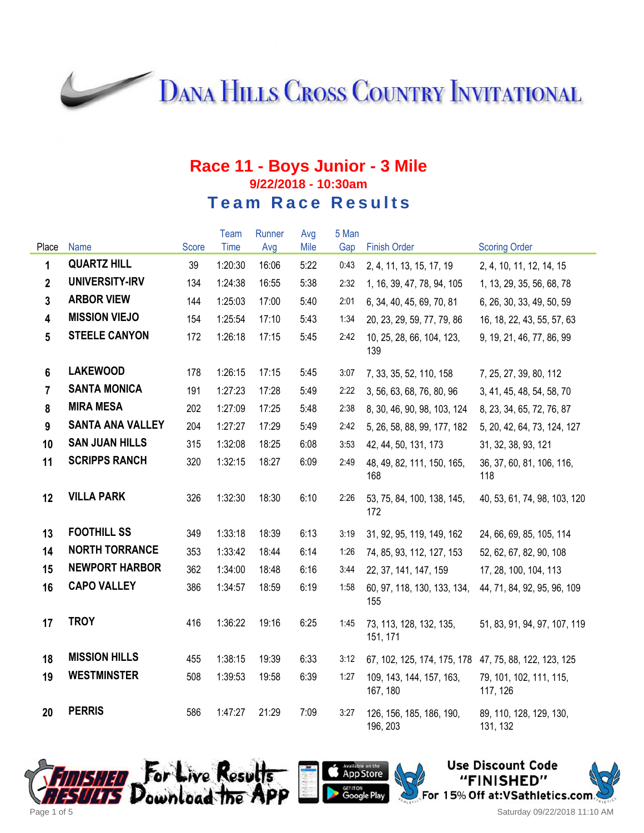**DANA HILLS CROSS COUNTRY INVITATIONAL** 

### **Race 11 - Boys Junior - 3 Mile 9/22/2018 - 10:30am Team Race Results**

|                |                         |              | <b>Team</b> | Runner | Avg  | 5 Man |                                      |                                     |
|----------------|-------------------------|--------------|-------------|--------|------|-------|--------------------------------------|-------------------------------------|
| Place          | Name                    | <b>Score</b> | <b>Time</b> | Avg    | Mile | Gap   | <b>Finish Order</b>                  | <b>Scoring Order</b>                |
| 1              | <b>QUARTZ HILL</b>      | 39           | 1:20:30     | 16:06  | 5:22 | 0:43  | 2, 4, 11, 13, 15, 17, 19             | 2, 4, 10, 11, 12, 14, 15            |
| $\mathbf{2}$   | UNIVERSITY-IRV          | 134          | 1:24:38     | 16:55  | 5:38 | 2:32  | 1, 16, 39, 47, 78, 94, 105           | 1, 13, 29, 35, 56, 68, 78           |
| 3              | <b>ARBOR VIEW</b>       | 144          | 1:25:03     | 17:00  | 5:40 | 2:01  | 6, 34, 40, 45, 69, 70, 81            | 6, 26, 30, 33, 49, 50, 59           |
| 4              | <b>MISSION VIEJO</b>    | 154          | 1:25:54     | 17:10  | 5:43 | 1:34  | 20, 23, 29, 59, 77, 79, 86           | 16, 18, 22, 43, 55, 57, 63          |
| 5              | <b>STEELE CANYON</b>    | 172          | 1:26:18     | 17:15  | 5:45 | 2:42  | 10, 25, 28, 66, 104, 123,<br>139     | 9, 19, 21, 46, 77, 86, 99           |
| $6\phantom{1}$ | <b>LAKEWOOD</b>         | 178          | 1:26:15     | 17:15  | 5:45 | 3:07  | 7, 33, 35, 52, 110, 158              | 7, 25, 27, 39, 80, 112              |
| $\overline{7}$ | <b>SANTA MONICA</b>     | 191          | 1:27:23     | 17:28  | 5:49 | 2:22  | 3, 56, 63, 68, 76, 80, 96            | 3, 41, 45, 48, 54, 58, 70           |
| 8              | <b>MIRA MESA</b>        | 202          | 1:27:09     | 17:25  | 5:48 | 2:38  | 8, 30, 46, 90, 98, 103, 124          | 8, 23, 34, 65, 72, 76, 87           |
| 9              | <b>SANTA ANA VALLEY</b> | 204          | 1:27:27     | 17:29  | 5:49 | 2:42  | 5, 26, 58, 88, 99, 177, 182          | 5, 20, 42, 64, 73, 124, 127         |
| 10             | <b>SAN JUAN HILLS</b>   | 315          | 1:32:08     | 18:25  | 6:08 | 3:53  | 42, 44, 50, 131, 173                 | 31, 32, 38, 93, 121                 |
| 11             | <b>SCRIPPS RANCH</b>    | 320          | 1:32:15     | 18:27  | 6:09 | 2:49  | 48, 49, 82, 111, 150, 165,<br>168    | 36, 37, 60, 81, 106, 116,<br>118    |
| 12             | <b>VILLA PARK</b>       | 326          | 1:32:30     | 18:30  | 6:10 | 2:26  | 53, 75, 84, 100, 138, 145,<br>172    | 40, 53, 61, 74, 98, 103, 120        |
| 13             | <b>FOOTHILL SS</b>      | 349          | 1:33:18     | 18:39  | 6:13 | 3:19  | 31, 92, 95, 119, 149, 162            | 24, 66, 69, 85, 105, 114            |
| 14             | <b>NORTH TORRANCE</b>   | 353          | 1:33:42     | 18:44  | 6:14 | 1:26  | 74, 85, 93, 112, 127, 153            | 52, 62, 67, 82, 90, 108             |
| 15             | <b>NEWPORT HARBOR</b>   | 362          | 1:34:00     | 18:48  | 6:16 | 3:44  | 22, 37, 141, 147, 159                | 17, 28, 100, 104, 113               |
| 16             | <b>CAPO VALLEY</b>      | 386          | 1:34:57     | 18:59  | 6:19 | 1:58  | 60, 97, 118, 130, 133, 134,<br>155   | 44, 71, 84, 92, 95, 96, 109         |
| 17             | <b>TROY</b>             | 416          | 1:36:22     | 19:16  | 6:25 | 1:45  | 73, 113, 128, 132, 135,<br>151, 171  | 51, 83, 91, 94, 97, 107, 119        |
| 18             | <b>MISSION HILLS</b>    | 455          | 1:38:15     | 19:39  | 6:33 | 3:12  | 67, 102, 125, 174, 175, 178          | 47, 75, 88, 122, 123, 125           |
| 19             | <b>WESTMINSTER</b>      | 508          | 1:39:53     | 19:58  | 6:39 | 1:27  | 109, 143, 144, 157, 163,<br>167, 180 | 79, 101, 102, 111, 115,<br>117, 126 |
| 20             | <b>PERRIS</b>           | 586          | 1:47:27     | 21:29  | 7:09 | 3:27  | 126, 156, 185, 186, 190,<br>196, 203 | 89, 110, 128, 129, 130,<br>131, 132 |





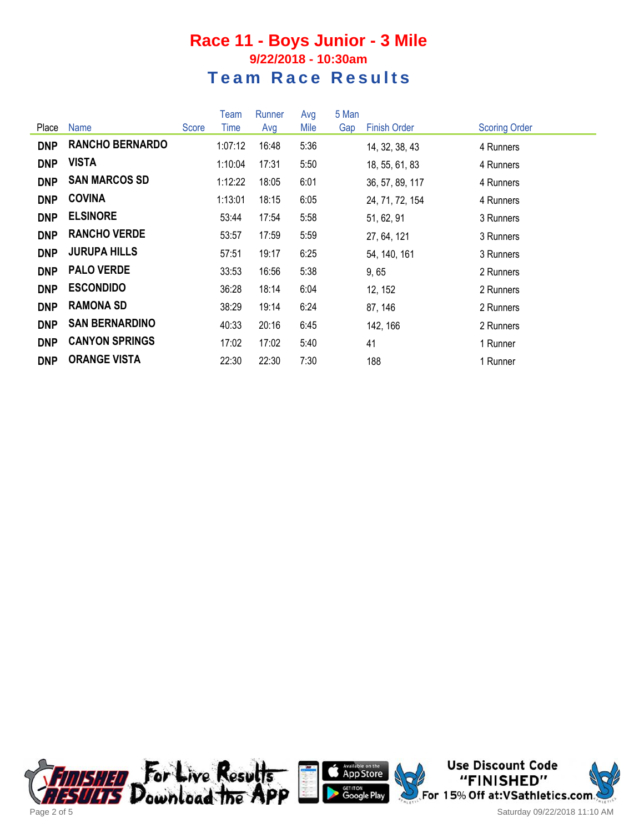#### **Race 11 - Boys Junior - 3 Mile 9/22/2018 - 10:30am Team Race Results**

|            |                        |       | Team    | Runner | Avg  | 5 Man |                     |                      |
|------------|------------------------|-------|---------|--------|------|-------|---------------------|----------------------|
| Place      | Name                   | Score | Time    | Avg    | Mile | Gap   | <b>Finish Order</b> | <b>Scoring Order</b> |
| <b>DNP</b> | <b>RANCHO BERNARDO</b> |       | 1:07:12 | 16:48  | 5:36 |       | 14, 32, 38, 43      | 4 Runners            |
| <b>DNP</b> | VISTA                  |       | 1:10:04 | 17:31  | 5:50 |       | 18, 55, 61, 83      | 4 Runners            |
| <b>DNP</b> | <b>SAN MARCOS SD</b>   |       | 1:12:22 | 18:05  | 6:01 |       | 36, 57, 89, 117     | 4 Runners            |
| <b>DNP</b> | <b>COVINA</b>          |       | 1:13:01 | 18:15  | 6:05 |       | 24, 71, 72, 154     | 4 Runners            |
| <b>DNP</b> | <b>ELSINORE</b>        |       | 53:44   | 17:54  | 5:58 |       | 51, 62, 91          | 3 Runners            |
| <b>DNP</b> | <b>RANCHO VERDE</b>    |       | 53:57   | 17:59  | 5:59 |       | 27, 64, 121         | 3 Runners            |
| <b>DNP</b> | <b>JURUPA HILLS</b>    |       | 57:51   | 19:17  | 6:25 |       | 54, 140, 161        | 3 Runners            |
| <b>DNP</b> | <b>PALO VERDE</b>      |       | 33:53   | 16:56  | 5:38 |       | 9,65                | 2 Runners            |
| <b>DNP</b> | <b>ESCONDIDO</b>       |       | 36:28   | 18:14  | 6:04 |       | 12, 152             | 2 Runners            |
| <b>DNP</b> | <b>RAMONA SD</b>       |       | 38:29   | 19:14  | 6:24 |       | 87, 146             | 2 Runners            |
| <b>DNP</b> | <b>SAN BERNARDINO</b>  |       | 40:33   | 20:16  | 6:45 |       | 142, 166            | 2 Runners            |
| <b>DNP</b> | <b>CANYON SPRINGS</b>  |       | 17:02   | 17:02  | 5:40 |       | 41                  | 1 Runner             |
| <b>DNP</b> | <b>ORANGE VISTA</b>    |       | 22:30   | 22:30  | 7:30 |       | 188                 | 1 Runner             |





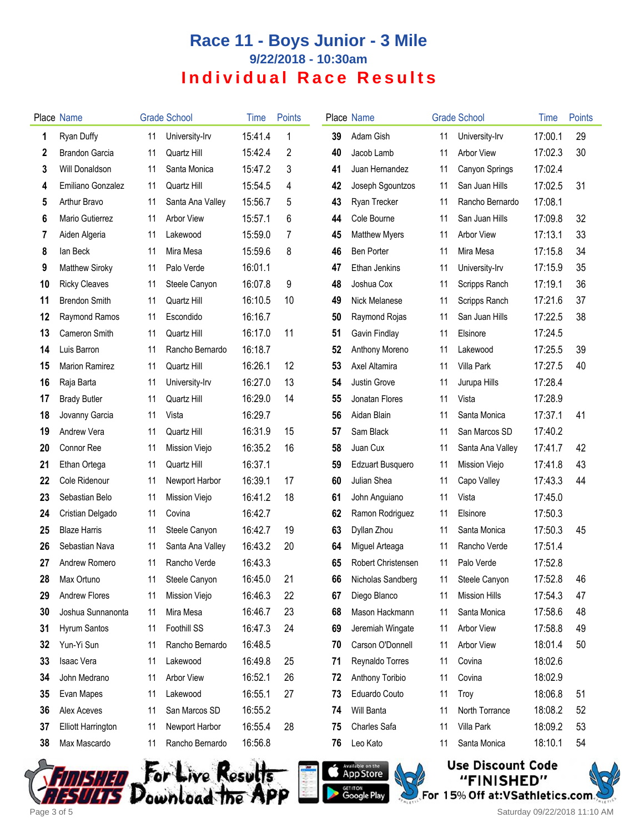# **Race 11 - Boys Junior - 3 Mile 9/22/2018 - 10:30am Individual Race Results**

|    | <b>Place Name</b>         |    | <b>Grade School</b> | Time    | <b>Points</b> |    | Place Name              |    | <b>Grade School</b>  | Time    | Points |
|----|---------------------------|----|---------------------|---------|---------------|----|-------------------------|----|----------------------|---------|--------|
| 1  | Ryan Duffy                | 11 | University-Irv      | 15:41.4 | 1             | 39 | Adam Gish               | 11 | University-Irv       | 17:00.1 | 29     |
| 2  | Brandon Garcia            | 11 | Quartz Hill         | 15:42.4 | 2             | 40 | Jacob Lamb              | 11 | <b>Arbor View</b>    | 17:02.3 | 30     |
| 3  | Will Donaldson            | 11 | Santa Monica        | 15:47.2 | 3             | 41 | Juan Hernandez          | 11 | Canyon Springs       | 17:02.4 |        |
| 4  | Emiliano Gonzalez         | 11 | Quartz Hill         | 15:54.5 | 4             | 42 | Joseph Sgountzos        | 11 | San Juan Hills       | 17:02.5 | 31     |
| 5  | Arthur Bravo              | 11 | Santa Ana Valley    | 15:56.7 | 5             | 43 | Ryan Trecker            | 11 | Rancho Bernardo      | 17:08.1 |        |
| 6  | Mario Gutierrez           | 11 | <b>Arbor View</b>   | 15:57.1 | 6             | 44 | Cole Bourne             | 11 | San Juan Hills       | 17:09.8 | 32     |
| 7  | Aiden Algeria             | 11 | Lakewood            | 15:59.0 | 7             | 45 | <b>Matthew Myers</b>    | 11 | <b>Arbor View</b>    | 17:13.1 | 33     |
| 8  | lan Beck                  | 11 | Mira Mesa           | 15:59.6 | 8             | 46 | <b>Ben Porter</b>       | 11 | Mira Mesa            | 17:15.8 | 34     |
| 9  | Matthew Siroky            | 11 | Palo Verde          | 16:01.1 |               | 47 | Ethan Jenkins           | 11 | University-Irv       | 17:15.9 | 35     |
| 10 | <b>Ricky Cleaves</b>      | 11 | Steele Canyon       | 16:07.8 | 9             | 48 | Joshua Cox              | 11 | Scripps Ranch        | 17:19.1 | 36     |
| 11 | <b>Brendon Smith</b>      | 11 | Quartz Hill         | 16:10.5 | 10            | 49 | Nick Melanese           | 11 | Scripps Ranch        | 17:21.6 | 37     |
| 12 | Raymond Ramos             | 11 | Escondido           | 16:16.7 |               | 50 | Raymond Rojas           | 11 | San Juan Hills       | 17:22.5 | 38     |
| 13 | Cameron Smith             | 11 | Quartz Hill         | 16:17.0 | 11            | 51 | Gavin Findlay           | 11 | Elsinore             | 17:24.5 |        |
| 14 | Luis Barron               | 11 | Rancho Bernardo     | 16:18.7 |               | 52 | Anthony Moreno          | 11 | Lakewood             | 17:25.5 | 39     |
| 15 | <b>Marion Ramirez</b>     | 11 | Quartz Hill         | 16:26.1 | 12            | 53 | Axel Altamira           | 11 | Villa Park           | 17:27.5 | 40     |
| 16 | Raja Barta                | 11 | University-Irv      | 16:27.0 | 13            | 54 | Justin Grove            | 11 | Jurupa Hills         | 17:28.4 |        |
| 17 | <b>Brady Butler</b>       | 11 | Quartz Hill         | 16:29.0 | 14            | 55 | Jonatan Flores          | 11 | Vista                | 17:28.9 |        |
| 18 | Jovanny Garcia            | 11 | Vista               | 16:29.7 |               | 56 | Aidan Blain             | 11 | Santa Monica         | 17:37.1 | 41     |
| 19 | Andrew Vera               | 11 | Quartz Hill         | 16:31.9 | 15            | 57 | Sam Black               | 11 | San Marcos SD        | 17:40.2 |        |
| 20 | Connor Ree                | 11 | Mission Viejo       | 16:35.2 | 16            | 58 | Juan Cux                | 11 | Santa Ana Valley     | 17:41.7 | 42     |
| 21 | Ethan Ortega              | 11 | Quartz Hill         | 16:37.1 |               | 59 | <b>Edzuart Busquero</b> | 11 | Mission Viejo        | 17:41.8 | 43     |
| 22 | Cole Ridenour             | 11 | Newport Harbor      | 16:39.1 | 17            | 60 | Julian Shea             | 11 | Capo Valley          | 17:43.3 | 44     |
| 23 | Sebastian Belo            | 11 | Mission Viejo       | 16:41.2 | 18            | 61 | John Anguiano           | 11 | Vista                | 17:45.0 |        |
| 24 | Cristian Delgado          | 11 | Covina              | 16:42.7 |               | 62 | Ramon Rodriguez         | 11 | Elsinore             | 17:50.3 |        |
| 25 | <b>Blaze Harris</b>       | 11 | Steele Canyon       | 16:42.7 | 19            | 63 | Dyllan Zhou             | 11 | Santa Monica         | 17:50.3 | 45     |
| 26 | Sebastian Nava            | 11 | Santa Ana Valley    | 16:43.2 | 20            | 64 | Miguel Arteaga          | 11 | Rancho Verde         | 17:51.4 |        |
| 27 | Andrew Romero             | 11 | Rancho Verde        | 16:43.3 |               | 65 | Robert Christensen      | 11 | Palo Verde           | 17:52.8 |        |
| 28 | Max Ortuno                | 11 | Steele Canyon       | 16:45.0 | 21            | 66 | Nicholas Sandberg       | 11 | Steele Canyon        | 17:52.8 | 46     |
| 29 | <b>Andrew Flores</b>      | 11 | Mission Viejo       | 16:46.3 | 22            | 67 | Diego Blanco            | 11 | <b>Mission Hills</b> | 17:54.3 | 47     |
| 30 | Joshua Sunnanonta         | 11 | Mira Mesa           | 16:46.7 | 23            | 68 | Mason Hackmann          | 11 | Santa Monica         | 17:58.6 | 48     |
| 31 | Hyrum Santos              | 11 | Foothill SS         | 16:47.3 | 24            | 69 | Jeremiah Wingate        | 11 | <b>Arbor View</b>    | 17:58.8 | 49     |
| 32 | Yun-Yi Sun                | 11 | Rancho Bernardo     | 16:48.5 |               | 70 | Carson O'Donnell        | 11 | <b>Arbor View</b>    | 18:01.4 | 50     |
| 33 | Isaac Vera                | 11 | Lakewood            | 16:49.8 | 25            | 71 | Reynaldo Torres         | 11 | Covina               | 18:02.6 |        |
| 34 | John Medrano              | 11 | <b>Arbor View</b>   | 16:52.1 | 26            | 72 | Anthony Toribio         | 11 | Covina               | 18:02.9 |        |
| 35 | Evan Mapes                | 11 | Lakewood            | 16:55.1 | 27            | 73 | Eduardo Couto           | 11 | Troy                 | 18:06.8 | 51     |
| 36 | Alex Aceves               | 11 | San Marcos SD       | 16:55.2 |               | 74 | Will Banta              | 11 | North Torrance       | 18:08.2 | 52     |
| 37 | <b>Elliott Harrington</b> | 11 | Newport Harbor      | 16:55.4 | 28            | 75 | Charles Safa            | 11 | Villa Park           | 18:09.2 | 53     |
| 38 | Max Mascardo              | 11 | Rancho Bernardo     | 16:56.8 |               | 76 | Leo Kato                | 11 | Santa Monica         | 18:10.1 | 54     |







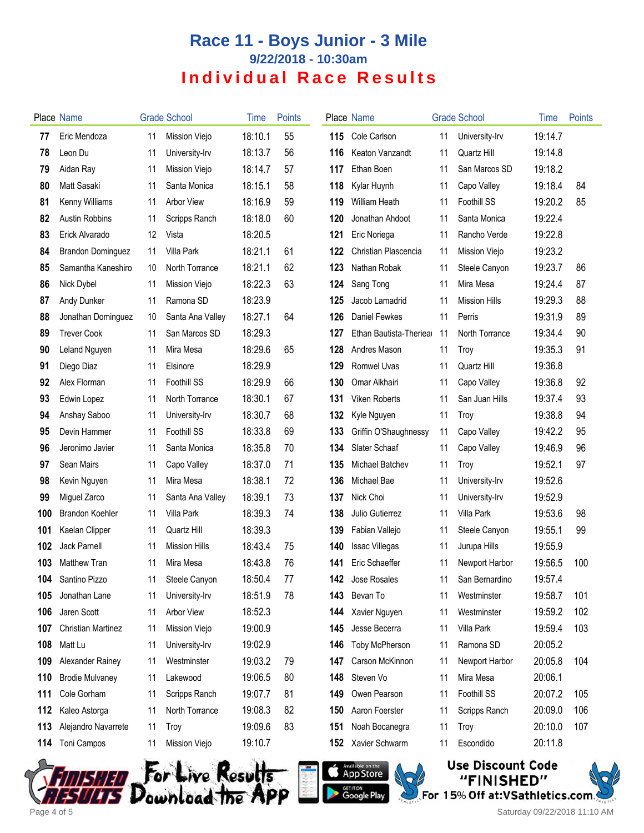# **Race 11 - Boys Junior - 3 Mile 9/22/2018 - 10:30am Individual Race Results**

|     | <b>Place Name</b>        |    | <b>Grade School</b>  | <b>l</b> ime | <b>Points</b> |     | Place Name              |    | <b>Grade School</b>  | Time    | Points |
|-----|--------------------------|----|----------------------|--------------|---------------|-----|-------------------------|----|----------------------|---------|--------|
| 77  | Eric Mendoza             | 11 | Mission Viejo        | 18:10.1      | 55            | 115 | Cole Carlson            | 11 | University-Irv       | 19:14.7 |        |
| 78  | Leon Du                  | 11 | University-Irv       | 18:13.7      | 56            | 116 | Keaton Vanzandt         | 11 | Quartz Hill          | 19:14.8 |        |
| 79  | Aidan Ray                | 11 | Mission Viejo        | 18:14.7      | 57            | 117 | Ethan Boen              | 11 | San Marcos SD        | 19:18.2 |        |
| 80  | Matt Sasaki              | 11 | Santa Monica         | 18:15.1      | 58            | 118 | Kylar Huynh             | 11 | Capo Valley          | 19:18.4 | 84     |
| 81  | Kenny Williams           | 11 | <b>Arbor View</b>    | 18:16.9      | 59            | 119 | <b>William Heath</b>    | 11 | <b>Foothill SS</b>   | 19:20.2 | 85     |
| 82  | Austin Robbins           | 11 | Scripps Ranch        | 18:18.0      | 60            | 120 | Jonathan Ahdoot         | 11 | Santa Monica         | 19:22.4 |        |
| 83  | Erick Alvarado           | 12 | Vista                | 18:20.5      |               | 121 | Eric Noriega            | 11 | Rancho Verde         | 19:22.8 |        |
| 84  | <b>Brandon Dominguez</b> | 11 | Villa Park           | 18:21.1      | 61            | 122 | Christian Plascencia    | 11 | Mission Viejo        | 19:23.2 |        |
| 85  | Samantha Kaneshiro       | 10 | North Torrance       | 18:21.1      | 62            | 123 | Nathan Robak            | 11 | Steele Canyon        | 19:23.7 | 86     |
| 86  | Nick Dybel               | 11 | Mission Viejo        | 18:22.3      | 63            | 124 | Sang Tong               | 11 | Mira Mesa            | 19:24.4 | 87     |
| 87  | Andy Dunker              | 11 | Ramona SD            | 18:23.9      |               | 125 | Jacob Lamadrid          | 11 | <b>Mission Hills</b> | 19:29.3 | 88     |
| 88  | Jonathan Dominguez       | 10 | Santa Ana Valley     | 18:27.1      | 64            | 126 | Daniel Fewkes           | 11 | Perris               | 19:31.9 | 89     |
| 89  | <b>Trever Cook</b>       | 11 | San Marcos SD        | 18:29.3      |               | 127 | Ethan Bautista-Theriear | 11 | North Torrance       | 19:34.4 | 90     |
| 90  | Leland Nguyen            | 11 | Mira Mesa            | 18:29.6      | 65            | 128 | Andres Mason            | 11 | Troy                 | 19:35.3 | 91     |
| 91  | Diego Diaz               | 11 | Elsinore             | 18:29.9      |               | 129 | <b>Romwel Uvas</b>      | 11 | Quartz Hill          | 19:36.8 |        |
| 92  | Alex Florman             | 11 | Foothill SS          | 18:29.9      | 66            | 130 | Omar Alkhairi           | 11 | Capo Valley          | 19:36.8 | 92     |
| 93  | Edwin Lopez              | 11 | North Torrance       | 18:30.1      | 67            | 131 | Viken Roberts           | 11 | San Juan Hills       | 19:37.4 | 93     |
| 94  | Anshay Saboo             | 11 | University-Irv       | 18:30.7      | 68            | 132 | Kyle Nguyen             | 11 | Troy                 | 19:38.8 | 94     |
| 95  | Devin Hammer             | 11 | Foothill SS          | 18:33.8      | 69            | 133 | Griffin O'Shaughnessy   | 11 | Capo Valley          | 19:42.2 | 95     |
| 96  | Jeronimo Javier          | 11 | Santa Monica         | 18:35.8      | 70            | 134 | Slater Schaaf           | 11 | Capo Valley          | 19:46.9 | 96     |
| 97  | Sean Mairs               | 11 | Capo Valley          | 18:37.0      | 71            | 135 | Michael Batchev         | 11 | Troy                 | 19:52.1 | 97     |
| 98  | Kevin Nguyen             | 11 | Mira Mesa            | 18:38.1      | 72            | 136 | Michael Bae             | 11 | University-Irv       | 19:52.6 |        |
| 99  | Miguel Zarco             | 11 | Santa Ana Valley     | 18:39.1      | 73            | 137 | Nick Choi               | 11 | University-Irv       | 19:52.9 |        |
| 100 | <b>Brandon Koehler</b>   | 11 | Villa Park           | 18:39.3      | 74            | 138 | Julio Gutierrez         | 11 | Villa Park           | 19:53.6 | 98     |
| 101 | Kaelan Clipper           | 11 | Quartz Hill          | 18:39.3      |               | 139 | Fabian Vallejo          | 11 | Steele Canyon        | 19:55.1 | 99     |
| 102 | Jack Parnell             | 11 | <b>Mission Hills</b> | 18:43.4      | 75            | 140 | <b>Issac Villegas</b>   | 11 | Jurupa Hills         | 19:55.9 |        |
| 103 | Matthew Tran             | 11 | Mira Mesa            | 18:43.8      | 76            | 141 | Eric Schaeffer          | 11 | Newport Harbor       | 19:56.5 | 100    |
| 104 | Santino Pizzo            | 11 | Steele Canyon        | 18:50.4      | 77            | 142 | Jose Rosales            | 11 | San Bernardino       | 19:57.4 |        |
| 105 | Jonathan Lane            | 11 | University-Irv       | 18:51.9      | 78            | 143 | Bevan To                | 11 | Westminster          | 19:58.7 | 101    |
| 106 | Jaren Scott              | 11 | Arbor View           | 18:52.3      |               | 144 | Xavier Nguyen           | 11 | Westminster          | 19:59.2 | 102    |
| 107 | Christian Martinez       | 11 | Mission Viejo        | 19:00.9      |               | 145 | Jesse Becerra           | 11 | Villa Park           | 19:59.4 | 103    |
| 108 | Matt Lu                  | 11 | University-Irv       | 19:02.9      |               | 146 | <b>Toby McPherson</b>   | 11 | Ramona SD            | 20:05.2 |        |
| 109 | Alexander Rainey         | 11 | Westminster          | 19:03.2      | 79            | 147 | Carson McKinnon         | 11 | Newport Harbor       | 20:05.8 | 104    |
| 110 | <b>Brodie Mulvaney</b>   | 11 | Lakewood             | 19:06.5      | 80            | 148 | Steven Vo               | 11 | Mira Mesa            | 20:06.1 |        |
| 111 | Cole Gorham              | 11 | Scripps Ranch        | 19:07.7      | 81            | 149 | Owen Pearson            | 11 | Foothill SS          | 20:07.2 | 105    |
| 112 | Kaleo Astorga            | 11 | North Torrance       | 19:08.3      | 82            | 150 | Aaron Foerster          | 11 | Scripps Ranch        | 20:09.0 | 106    |
| 113 | Alejandro Navarrete      | 11 | Troy                 | 19:09.6      | 83            | 151 | Noah Bocanegra          | 11 | Troy                 | 20:10.0 | 107    |
| 114 | Toni Campos              | 11 | Mission Viejo        | 19:10.7      |               | 152 | Xavier Schwarm          | 11 | Escondido            | 20:11.8 |        |
|     |                          |    |                      |              |               |     |                         |    |                      |         |        |